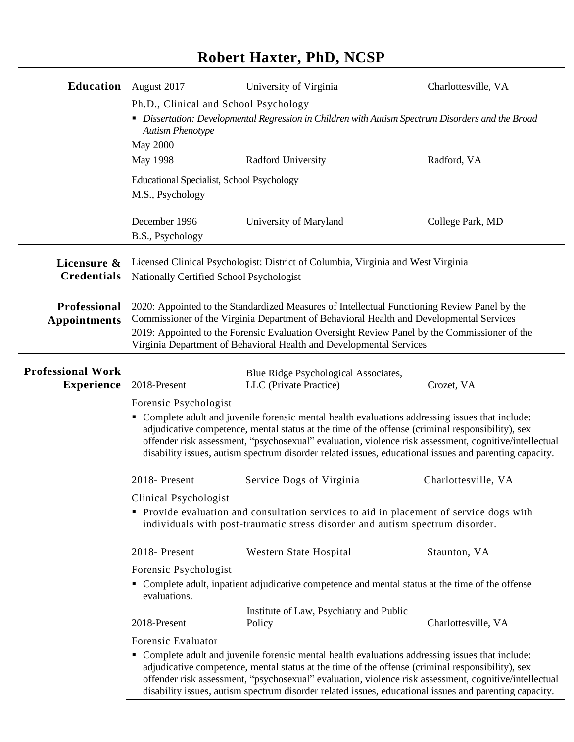## **Robert Haxter, PhD, NCSP**

| <b>Education</b> August 2017                  |                                                                                                                                                                                                                                                                                                                                                                                                                                                  | University of Virginia                                                           | Charlottesville, VA |
|-----------------------------------------------|--------------------------------------------------------------------------------------------------------------------------------------------------------------------------------------------------------------------------------------------------------------------------------------------------------------------------------------------------------------------------------------------------------------------------------------------------|----------------------------------------------------------------------------------|---------------------|
|                                               | Ph.D., Clinical and School Psychology<br>• Dissertation: Developmental Regression in Children with Autism Spectrum Disorders and the Broad<br><b>Autism Phenotype</b><br><b>May 2000</b>                                                                                                                                                                                                                                                         |                                                                                  |                     |
|                                               |                                                                                                                                                                                                                                                                                                                                                                                                                                                  |                                                                                  |                     |
|                                               | May 1998                                                                                                                                                                                                                                                                                                                                                                                                                                         | Radford University                                                               | Radford, VA         |
|                                               | Educational Specialist, School Psychology<br>M.S., Psychology                                                                                                                                                                                                                                                                                                                                                                                    |                                                                                  |                     |
|                                               | December 1996<br>B.S., Psychology                                                                                                                                                                                                                                                                                                                                                                                                                | University of Maryland                                                           | College Park, MD    |
| Licensure &<br><b>Credentials</b>             | Nationally Certified School Psychologist                                                                                                                                                                                                                                                                                                                                                                                                         | Licensed Clinical Psychologist: District of Columbia, Virginia and West Virginia |                     |
| Professional<br><b>Appointments</b>           | 2020: Appointed to the Standardized Measures of Intellectual Functioning Review Panel by the<br>Commissioner of the Virginia Department of Behavioral Health and Developmental Services<br>2019: Appointed to the Forensic Evaluation Oversight Review Panel by the Commissioner of the<br>Virginia Department of Behavioral Health and Developmental Services                                                                                   |                                                                                  |                     |
|                                               |                                                                                                                                                                                                                                                                                                                                                                                                                                                  |                                                                                  |                     |
| <b>Professional Work</b><br><b>Experience</b> | 2018-Present                                                                                                                                                                                                                                                                                                                                                                                                                                     | Blue Ridge Psychological Associates,<br>LLC (Private Practice)                   | Crozet, VA          |
|                                               | Forensic Psychologist<br>• Complete adult and juvenile forensic mental health evaluations addressing issues that include:<br>adjudicative competence, mental status at the time of the offense (criminal responsibility), sex<br>offender risk assessment, "psychosexual" evaluation, violence risk assessment, cognitive/intellectual<br>disability issues, autism spectrum disorder related issues, educational issues and parenting capacity. |                                                                                  |                     |
|                                               | 2018-Present                                                                                                                                                                                                                                                                                                                                                                                                                                     | Service Dogs of Virginia                                                         | Charlottesville, VA |
|                                               | Clinical Psychologist<br>• Provide evaluation and consultation services to aid in placement of service dogs with<br>individuals with post-traumatic stress disorder and autism spectrum disorder.                                                                                                                                                                                                                                                |                                                                                  |                     |
|                                               | 2018-Present                                                                                                                                                                                                                                                                                                                                                                                                                                     | Western State Hospital                                                           | Staunton, VA        |
|                                               | Forensic Psychologist<br>• Complete adult, inpatient adjudicative competence and mental status at the time of the offense<br>evaluations.                                                                                                                                                                                                                                                                                                        |                                                                                  |                     |
|                                               | 2018-Present                                                                                                                                                                                                                                                                                                                                                                                                                                     | Institute of Law, Psychiatry and Public<br>Policy                                | Charlottesville, VA |
|                                               | Forensic Evaluator                                                                                                                                                                                                                                                                                                                                                                                                                               |                                                                                  |                     |
|                                               | Complete adult and juvenile forensic mental health evaluations addressing issues that include:<br>٠<br>adjudicative competence, mental status at the time of the offense (criminal responsibility), sex<br>offender risk assessment, "psychosexual" evaluation, violence risk assessment, cognitive/intellectual<br>disability issues, autism spectrum disorder related issues, educational issues and parenting capacity.                       |                                                                                  |                     |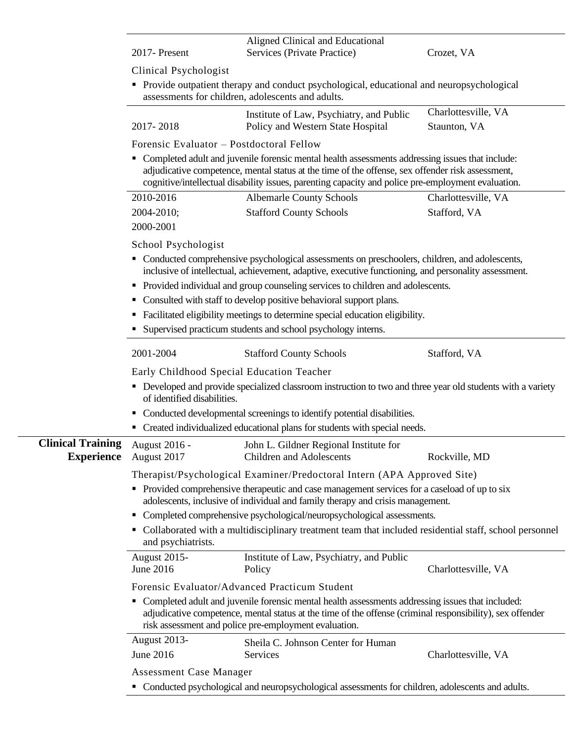|                  | Aligned Clinical and Educational |            |  |
|------------------|----------------------------------|------------|--|
| $2017$ - Present | Services (Private Practice)      | Crozet. VA |  |

Clinical Psychologist

▪ Provide outpatient therapy and conduct psychological, educational and neuropsychological assessments for children, adolescents and adults.

|           | Institute of Law, Psychiatry, and Public | Charlottesville, VA |
|-----------|------------------------------------------|---------------------|
| 2017-2018 | Policy and Western State Hospital        | Staunton, VA        |

Forensic Evaluator – Postdoctoral Fellow

■ Completed adult and juvenile forensic mental health assessments addressing issues that include: adjudicative competence, mental status at the time of the offense, sex offender risk assessment, cognitive/intellectual disability issues, parenting capacity and police pre-employment evaluation.

| 2010-2016  | <b>Albemarle County Schools</b> | Charlottesville, VA |
|------------|---------------------------------|---------------------|
| 2004-2010; | <b>Stafford County Schools</b>  | Stafford, VA        |
| 2000-2001  |                                 |                     |

School Psychologist

- Conducted comprehensive psychological assessments on preschoolers, children, and adolescents, inclusive of intellectual, achievement, adaptive, executive functioning, and personality assessment.
- **•** Provided individual and group counseling services to children and adolescents.
- Consulted with staff to develop positive behavioral support plans.
- Facilitated eligibility meetings to determine special education eligibility.
- Supervised practicum students and school psychology interns.

|                                                                         | 2001-2004                                                                                                                                                                                                                                                                | <b>Stafford County Schools</b>                                              | Stafford, VA        |  |
|-------------------------------------------------------------------------|--------------------------------------------------------------------------------------------------------------------------------------------------------------------------------------------------------------------------------------------------------------------------|-----------------------------------------------------------------------------|---------------------|--|
|                                                                         | Early Childhood Special Education Teacher                                                                                                                                                                                                                                |                                                                             |                     |  |
|                                                                         | • Developed and provide specialized classroom instruction to two and three year old students with a variety<br>of identified disabilities.                                                                                                                               |                                                                             |                     |  |
|                                                                         | • Conducted developmental screenings to identify potential disabilities.                                                                                                                                                                                                 |                                                                             |                     |  |
|                                                                         |                                                                                                                                                                                                                                                                          | • Created individualized educational plans for students with special needs. |                     |  |
| <b>Clinical Training</b><br><b>Experience</b>                           | August 2016 -<br>August 2017                                                                                                                                                                                                                                             | John L. Gildner Regional Institute for<br><b>Children and Adolescents</b>   | Rockville, MD       |  |
| Therapist/Psychological Examiner/Predoctoral Intern (APA Approved Site) |                                                                                                                                                                                                                                                                          |                                                                             |                     |  |
|                                                                         | • Provided comprehensive therapeutic and case management services for a caseload of up to six<br>adolescents, inclusive of individual and family therapy and crisis management.                                                                                          |                                                                             |                     |  |
|                                                                         | • Completed comprehensive psychological/neuropsychological assessments.                                                                                                                                                                                                  |                                                                             |                     |  |
|                                                                         | • Collaborated with a multidisciplinary treatment team that included residential staff, school personnel<br>and psychiatrists.                                                                                                                                           |                                                                             |                     |  |
|                                                                         | <b>August 2015-</b>                                                                                                                                                                                                                                                      | Institute of Law, Psychiatry, and Public                                    |                     |  |
|                                                                         | June 2016                                                                                                                                                                                                                                                                | Policy                                                                      | Charlottesville, VA |  |
|                                                                         | Forensic Evaluator/Advanced Practicum Student                                                                                                                                                                                                                            |                                                                             |                     |  |
|                                                                         | • Completed adult and juvenile forensic mental health assessments addressing issues that included:<br>adjudicative competence, mental status at the time of the offense (criminal responsibility), sex offender<br>risk assessment and police pre-employment evaluation. |                                                                             |                     |  |
|                                                                         | August 2013-                                                                                                                                                                                                                                                             | Sheila C. Johnson Center for Human                                          |                     |  |
|                                                                         | June 2016                                                                                                                                                                                                                                                                | Services                                                                    | Charlottesville, VA |  |
|                                                                         | <b>Assessment Case Manager</b>                                                                                                                                                                                                                                           |                                                                             |                     |  |
|                                                                         | • Conducted psychological and neuropsychological assessments for children, adolescents and adults.                                                                                                                                                                       |                                                                             |                     |  |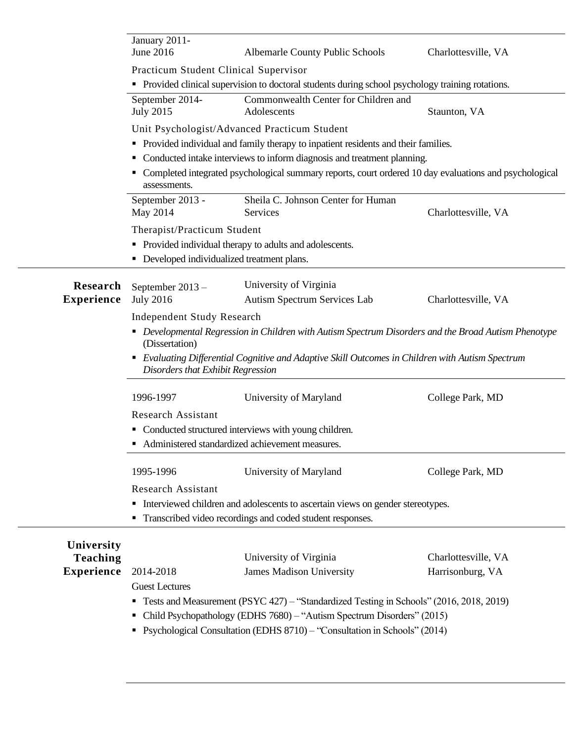|                                      | January 2011-<br>June 2016                                                                                                            | Albemarle County Public Schools                                                                   | Charlottesville, VA |
|--------------------------------------|---------------------------------------------------------------------------------------------------------------------------------------|---------------------------------------------------------------------------------------------------|---------------------|
|                                      | Practicum Student Clinical Supervisor                                                                                                 |                                                                                                   |                     |
|                                      |                                                                                                                                       | • Provided clinical supervision to doctoral students during school psychology training rotations. |                     |
|                                      | September 2014-<br><b>July 2015</b>                                                                                                   | Commonwealth Center for Children and<br>Adolescents                                               | Staunton, VA        |
|                                      |                                                                                                                                       | Unit Psychologist/Advanced Practicum Student                                                      |                     |
|                                      | • Provided individual and family therapy to inpatient residents and their families.                                                   |                                                                                                   |                     |
|                                      | • Conducted intake interviews to inform diagnosis and treatment planning.                                                             |                                                                                                   |                     |
|                                      | Completed integrated psychological summary reports, court ordered 10 day evaluations and psychological<br>assessments.                |                                                                                                   |                     |
|                                      | September 2013 -<br>May 2014                                                                                                          | Sheila C. Johnson Center for Human<br>Services                                                    | Charlottesville, VA |
|                                      | Therapist/Practicum Student                                                                                                           |                                                                                                   |                     |
|                                      |                                                                                                                                       | • Provided individual therapy to adults and adolescents.                                          |                     |
|                                      | • Developed individualized treatment plans.                                                                                           |                                                                                                   |                     |
|                                      |                                                                                                                                       |                                                                                                   |                     |
| Research<br><b>Experience</b>        | September 2013-<br><b>July 2016</b>                                                                                                   | University of Virginia<br>Autism Spectrum Services Lab                                            | Charlottesville, VA |
|                                      |                                                                                                                                       |                                                                                                   |                     |
|                                      | <b>Independent Study Research</b>                                                                                                     |                                                                                                   |                     |
|                                      | • Developmental Regression in Children with Autism Spectrum Disorders and the Broad Autism Phenotype<br>(Dissertation)                |                                                                                                   |                     |
|                                      | • Evaluating Differential Cognitive and Adaptive Skill Outcomes in Children with Autism Spectrum<br>Disorders that Exhibit Regression |                                                                                                   |                     |
|                                      | 1996-1997                                                                                                                             | University of Maryland                                                                            | College Park, MD    |
|                                      | <b>Research Assistant</b>                                                                                                             |                                                                                                   |                     |
|                                      | • Conducted structured interviews with young children.                                                                                |                                                                                                   |                     |
|                                      | • Administered standardized achievement measures.                                                                                     |                                                                                                   |                     |
|                                      | 1995-1996                                                                                                                             | University of Maryland                                                                            | College Park, MD    |
|                                      | Research Assistant                                                                                                                    |                                                                                                   |                     |
|                                      | • Interviewed children and adolescents to ascertain views on gender stereotypes.                                                      |                                                                                                   |                     |
|                                      |                                                                                                                                       | • Transcribed video recordings and coded student responses.                                       |                     |
|                                      |                                                                                                                                       |                                                                                                   |                     |
| University                           |                                                                                                                                       | University of Virginia                                                                            | Charlottesville, VA |
| <b>Teaching</b><br><b>Experience</b> | 2014-2018                                                                                                                             | <b>James Madison University</b>                                                                   | Harrisonburg, VA    |
|                                      | <b>Guest Lectures</b>                                                                                                                 |                                                                                                   |                     |
|                                      |                                                                                                                                       | <b>Tests and Measurement (PSYC 427)</b> – "Standardized Testing in Schools" (2016, 2018, 2019)    |                     |
|                                      |                                                                                                                                       | Child Psychopathology (EDHS 7680) - "Autism Spectrum Disorders" (2015)                            |                     |
|                                      |                                                                                                                                       | Psychological Consultation (EDHS 8710) - "Consultation in Schools" (2014)                         |                     |
|                                      |                                                                                                                                       |                                                                                                   |                     |